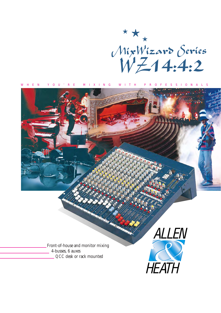

WHEN YOU'RE MIXING WITH PROFESSIONALS

ALLEN Front-of-house and monitor mixing 4-busses, 6 auxes *QCC* desk or rack mounted **HEATH**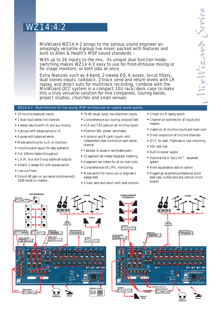# WZ14:4:2

MixWizard WZ14:4:2 brings to the serious sound engineer an amazingly versatile 4-group live mixer, packed with features and built to Allen & Heath's MSP sound standards -

With up to 26 inputs to the mix, its unique dual function modeswitching makes WZ14:4:2 easy to use for front-of-house mixing or for stage monitors, or both jobs at once.

Extra features such as 4-band, 2-sweep EQ, 6 auxes, lo-cut filters, dual stereo inputs, talkback, 2-track send and return levels with LR replay, and direct outs for multitrack recording, combine with the MixWizard QCC system in a compact 10U rack/desk case to make this a truly versatile solution for hire companies, touring bands, project studios, churches and small venues.

# WZ14:4:2 - Multi-function for live sound, MSP architecture for superb sound quality.

- 10 mic/line balanced inputs
- 2 dual input stereo line channels
- 4 stereo returns with LR and aux routing
- 4 groups with subgrouping to LR
- 6 auxes with balanced sends
- Mode switching for f.o.h. or monitors
- Intuitive panel layout for easy operation
- Full 100mm faders throughout
- L,R,M, Aux and Group balanced outputs
- 4-band, 2-sweep EQ with bypass switch
- Low-cut filters
- Extra 6 dB gain on aux sends combines with 10dB boost on masters
- 70 dB-range, quiet, low-distortion inputs
- Comprehensive aux routing, pre/post fade
- XLR and TRS jacks on all mic/line inputs
- Phantom 48V power, switchable
- A (phono) and B (jack) inputs with independent level controls on each stereo channel
- Talkback to auxes in switchable pairs
- 12-segment led master bargraph metering
- 4-segment led meters for all six main outs
- Comprehensive AFL/PFL monitoring
- Mode switch for mono out or engineer's wedge feed
- 2-track send and return with level controls
- 2-track to LR replay switch
- Channel-on switches for all inputs and masters
- •Inserts on all mic/line inputs and main outs
- Direct outputs on all mic/line channels
- QCC for desk, flightcase or rack mounting
- 10U rack size
- Built-in power supply
- Optional A&H Sys-Link™ expander system
- RIAA equalisation add-on option
- Rugged go-anywhere professional build: steel case, nutted pots and vertical circuit boards

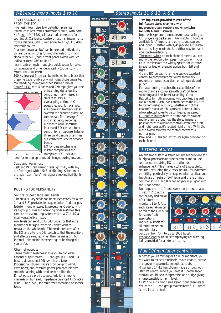# WZ14:4:2 mono inputs 1 to 10

#### PROFESSIONAL QUALITY FROM THE TOP.

High gain, low noise, low distortion preamps introduce MixWizard's professional build, with both XLR and 1/4" TRS jack balanced connectors for each input. Calibrated controls match all instruments from a delicate -60dBu mic signal to a high +10 dBu electronic source.

Phantom power at 48V can be selected individually on rear panel switches for mic channels 1 to 4, and globally for 5-10, and a front panel switch with led indicator turns 48V on or off.

Jack inserts on each input give quick access for gates, compressors and other dedicated fx (tip send, ring return, 0dB line level).

100 Hz low-cut filters can be switched in to block that tiresome stage rumble or wind noise, those unwanted mic handling thumps or other source rumbles. Powerful  $E\overline{Q}$  with 4 bands and 2 sweeps gives you the



outstanding signal quality control normally missed in smaller mixers. Our overlapping optimum-Q sweeps let you, for example, kill noise and feedback yet still sweeten the acoustic guitar, or compensate for the singer's mic's frequency response. Only with a full-spectrum four-band EQ can you fully control tonal response. Inferior three-band designs often miss out entire frequencies between bands. EQ by-pass switches give

instant comparisons and transparent EQ lock-out -

ideal for setting up or mood changes during sessions.

## Cues and warnings.

Peak and PFL red warning leds light fully with any pre fade signal within 5dB of clipping. Selection of pre fade listen ("solo") for signal checking half-lights the led.

## ROUTING FOR VERSATILITY.

#### Six pre or post fade aux sends

The six auxiliary sends can be set (separately for auxes 1-4 and 5-6) pre fade for stage monitor feeds, or post fade for mono or stereo fx processing. Coupled with its 4 group busses and *operating mode* switches, this comprehensive routing system makes WZ14:4:2 a most versatile live mixer.

Aux levels can send up to 6dB boost for that extra monitor or fx signal when you don't want to rebalance the whole mix. The sends are taken after the EQ and after the ON switch so that the monitors and effects are muted when the channel is off, but internal links enable these settings to be changed if you prefer.

#### Channel outputs

Three routing switches enable you to pan each channel output across L-R and group 1-2 and 3-4 busses, via a *channel ON* switch and fader. Professional 100mm faders provide up to +10dB extra boost, and constant power pan controls give smooth panning with dead-centre calibration. Direct outs are provided post-fade for all mono channels on buffered, impedance balanced TRS jacks at 0dBu line level., for multitrack recording or special feeds.



# Stereo inputs 11 & 12, A & B

**Two inputs are provided to each of the full-feature stereo channels, with independent gain controls and** *on* **switches for both A and B sources.**

Input A has phono connectors for easy cabling to CD players, dj decks (an RIAA matching board is available for A inputs) and other sound sources, and input B is fitted with 1/4" jacks to suit stereo fx returns, keyboards etc. Use either way to match your cable availability.

The *mono* switch on each channel means you can mono the keyboard for stage monitors, or if your f.o.h. speakers are too widely spaced for its stereo image, or feed one-legged signals both left and right.

4-band EQ on each channel gives you excellent control to compensate for source frequency response or venue acoustics - or add sparkle and punch.

Full aux routing matches the capabilities of the mono channels, complete with pre/post fade switching and 6dB boost capability. Great flexibility for fully processed foldback feeds as well as f.o.h work. Each level control sends the LR sum to its nominated auxiliary, whether or not the channel's *mono* switch is pressed. Internal links allow selected auxes to be configured as stereo. Outputs to busses have the same controls as the mono channels, but now the stereo image is positioned with a *balance* control, attenuating left and right feeds as it's rotated right or left. With the *mono* switch selected the control reverts to a normal pan.

Peak and PFL led and switch are again provided on each channel.

# 4 stereo returns

An additional set of 4 stereo returns are provided for fx, signal processors or other stereo or mono line sources not requiring EQ correction or enhancement. This makes a total of 8 possible fx returns - excluding the 2-track return - for extensive versatility, particularly in stage monitor applications. Inputs are on pairs of 1/4" jacks and the left input commoned to L and R when no jack is plugged into the R connector.

Routings: return 1 (mono sum) can be sent to aux

1, return 2 to aux 2 etc for easy dedication of fx returns to monitors 1 to 4. Also, each stereo return can be fed to the L-R buss for stereo f.o.h. applications. Individual levels for all sends are set on smooth rotary



controls from 'off' to up to 10dB boost. Pre-fade listen with an accompanying red warning led is provided for all stereo returns.

## Full 100mm fader controls

Whether you're mixing for f.o.h. or monitors, you will want to set accurate levels, make smooth, subtle changes or maybe make smooth fadeouts. MixWizard 14:4:2 has 100mm faders throughout -

ultimate control where you need it. Shorter fader controls would be a compromise, one nudge giving an unacceptable jump in level.

All WZ14:4:2's mono and stereo input channels as well as the L-R and group masters have full 100mm faders. Total control.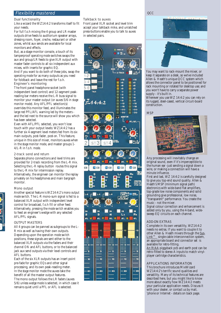# Flexibility mastered

## Dual functionality

Like a wizard the WZ14:4:2 transforms itself to fit your needs.

For full f.o.h mixing the 4 group and LR master outputs drive feeds to auditorium speaker arrays, dressing room, foyer, creche, restaurant or other zones, whilst aux sends are available for local monitors and effects.

But, as a stage monitor console, a touch of its tamperproof *operating mode* switches swaps the aux and group/LR feeds to give XLR output with master fader controls to all six independent aux mixes, with inserts for graphic EQ.

And if you want to do both of these jobs, swap the *operating mode* for as many outputs as you need for foldback and leave the rest for f.o.h. Engineer's monitoring

The front panel headphone socket (with independent level control) and 12-segment peakreading bar meters receive the L-R buss signal to monitor your master output (or auxes 5/6 in *stage monitor mode*). Any AFL/PFL selection(s) overrides this monitor feed, and illuminates the large red PFL/AFL warning led by the meters and the led next to the source will show you which has been selected.

Even with AFL/PFL selected, you won't lose touch with your output levels: WZ14:4:2 has a further six 4-segment level meters fed from its six main outputs, post-fader, post-*on*. This feature, unique in this size of mixer, monitors auxes when in the *stage monitor mode*, and master groups 1- 4/L-R in *f.o.h. mode*.

# 2-track send and return

Separate phono connections and level trims are provided for 2-track recording from the L-R mix. Selecting the *L-R replay* button routes this signal to the L-R mix for intermission replay. Alternatively, the engineer can monitor the replay privately on his headphones and main bargraph monitor.

## Mono output

Another special feature is WZ14:4:2's *mono output mode switch*. The L-R mono-sum signal is fed to a balanced XLR output with independent level control for broadcast, f.o.h fill or other feed. Alternatively, pressing the *mode switch* enables you to feed an engineer's wedge with any selected AFL/PFL signals.

# OUTPUT MASTERS

All 4 groups can be panned as subgroups to the L-R mix as well as having their own outputs. Depending upon the *operation mode switch* positions, these signals are sent either to the balanced XLR outputs via the faders and their *channel ON* and AFL buttons, or to the balanced jack aux send outputs via their level controls and AFL buttons.

Each of the six XLR outputs has an insert point pre-fade for graphic EQs and other signal processing, and its own peak-reading meter. In the *stage monitor mode* the auxes take the benefit of all the master output features. The mono output follows the LR faders (auxes 5/6) unless *wedge mode* is selected, in which case it remains quiet until a PFL or AFL is selected.

## Talkback to auxes

Front panel XLR socket and level trim accept your talkback mike, and unlatched press-buttons enable you to talk to auxes in selected pairs.





You may want to rack-mount the mixer, or keep it separate on a desk, so we've included Allen & Heath's unique QCC system which allows the connector panel to be positioned for rack mounting or rotated for desktop use; and you won't have to carry a separate power supply - it's built in.

Wherever you use WZ 14:4:2 you can rely on its rugged, steel-cased, vertical circuit-board construction.

**MSP** 



Any processing will inevitably change an original sound, even if it's imperceptible to the human ear -just sending a signal down a wire, or making a connection will have a minute influence.

First and last, WZ 14:4:2 is carefully designed to give you top-end sound quality. Allen & Heath's MSP (minimum signal path) electronics with wide-band flat amplifiers, top-grade low noise components and solid grounding give professional, low noise, "transparent" performance. You create the music - not the mixer.

Signal colour correction and enhancement is added only by you, using the 4-band, widesweep EQ circuits on each channel.

## ADD-ON EXTRAS

Complete in its own versatility, WZ14:4:2 needs no extras. If you want to couple it to other Allen & Heath mixers through the Sys-Link™ single-cable interconnection system, an appropriate board and connector set is available for retro-fitting.

An RIAA piggyback pcb and earth post can be retro-fitted to stereo A inputs to match vinylplayer cartridge characteristics.

## APPLICATIONS INFORMATION

This brochure introduces MixWizard WZ14:4:2's terrific sound qualities and versatility. Many of its technical features are described here, but you might like to know more about exactly how WZ14:4:2 meets your particular application needs. Discuss it with your dealer, or contact us by mail, 'phone or Internet - details on back page.

#### **QCC**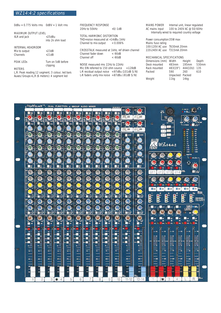| $OdBu = 0.775$ Volts rms $OdBV = 1$ Volt rms |  |  |
|----------------------------------------------|--|--|
|                                              |  |  |

#### MAXIMUM OUTPUT LEVEL XLR and jack

| $+25dBu$         |  |
|------------------|--|
| into 2k ohm load |  |

## INTERNAL HEADROOM

| Mix to output    | $+23dB$            |
|------------------|--------------------|
| Channels         | $+21dB$            |
| <b>PEAK LEDS</b> | Turn on 5dB before |

|          |  | Turn on 5aB befor |
|----------|--|-------------------|
| clipping |  |                   |
|          |  |                   |

# METERS

L,R: Peak reading 12 segment, 3 colour, led bars Auxes/Groups+L,R (6 meters): 4 segment led

## FREQUENCY RESPONSE

20Hz to 50kHz +0/-1dB

# TOTAL HARMONIC DISTORTION

THD+noise measured at +14dBu 1kHz Channel to mix output < 0.006%

| <b>CROSSTALK</b> measured at 1kHz, ref driven channel |           |
|-------------------------------------------------------|-----------|
| Channel fader down                                    | $<$ -90dB |
| Channel off                                           | $<$ -90dB |

# NOISE measured rms 22Hz to 22kHz

Mic EIN referred to 150 ohm source <- 128dB L-R residual output noise <-97dBu (101dB S/N) L-R faders unity mix noise <-87dBu (-91dB S/N)

MAINS POWER Internal unit, linear regulated AC mains input 100 to 240V AC @ 50/60Hz Internally wired to required country voltage

Power consumption35W max Mains fuse rating 100-120V AC use T630mA 20mm 220-240V AC use T315mA 20mm

| <b>MECHANICAL SPECIFICATIONS</b> |                  |          |       |  |  |
|----------------------------------|------------------|----------|-------|--|--|
| Dimensions (mm)                  | Width            | Height   | Depth |  |  |
| Desk mounted                     | 483mm            | 195mm    | 530mm |  |  |
| Rack mounted                     | 483(19")         | 444(10U) | 135   |  |  |
| Packed                           | 590              | 260      | 610   |  |  |
|                                  | Unpacked Packed  |          |       |  |  |
| Weight                           | 11 <sub>kg</sub> | 14kq     |       |  |  |